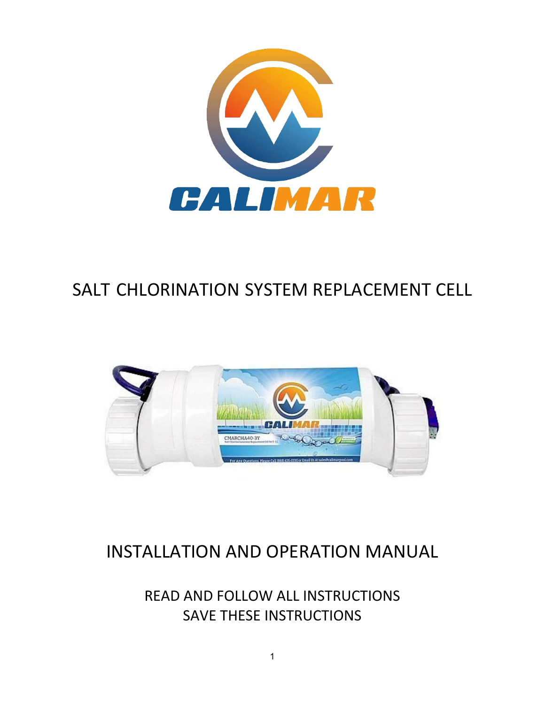

# SALT CHLORINATION SYSTEM REPLACEMENT CELL



# INSTALLATION AND OPERATION MANUAL

READ AND FOLLOW ALL INSTRUCTIONS SAVE THESE INSTRUCTIONS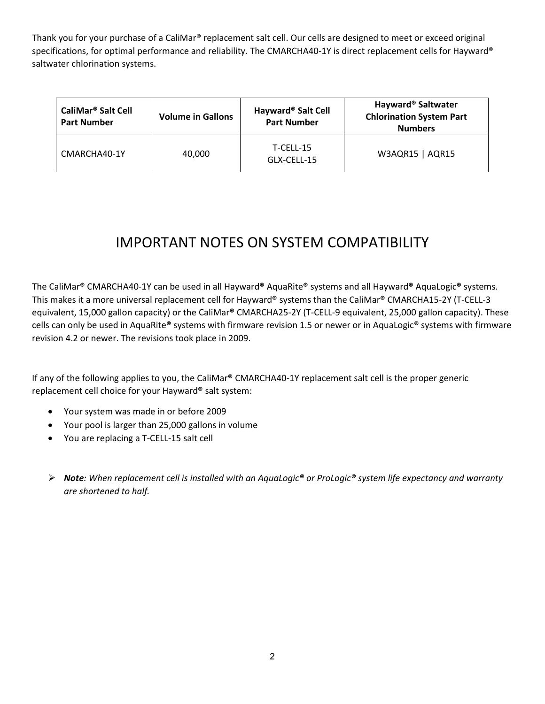Thank you for your purchase of a CaliMar® replacement salt cell. Our cells are designed to meet or exceed original specifications, for optimal performance and reliability. The CMARCHA40-1Y is direct replacement cells for Hayward® saltwater chlorination systems.

| CaliMar <sup>®</sup> Salt Cell<br><b>Part Number</b> | <b>Volume in Gallons</b> | Hayward <sup>®</sup> Salt Cell<br><b>Part Number</b> | Hayward <sup>®</sup> Saltwater<br><b>Chlorination System Part</b><br><b>Numbers</b> |
|------------------------------------------------------|--------------------------|------------------------------------------------------|-------------------------------------------------------------------------------------|
| CMARCHA40-1Y                                         | 40,000                   | T-CELL-15<br>GLX-CELL-15                             | W3AQR15   AQR15                                                                     |

## IMPORTANT NOTES ON SYSTEM COMPATIBILITY

The CaliMar**®** CMARCHA40-1Y can be used in all Hayward**®** AquaRite**®** systems and all Hayward**®** AquaLogic**®** systems. This makes it a more universal replacement cell for Hayward**®** systems than the CaliMar**®** CMARCHA15-2Y (T-CELL-3 equivalent, 15,000 gallon capacity) or the CaliMar**®** CMARCHA25-2Y (T-CELL-9 equivalent, 25,000 gallon capacity). These cells can only be used in AquaRite**®** systems with firmware revision 1.5 or newer or in AquaLogic**®** systems with firmware revision 4.2 or newer. The revisions took place in 2009.

If any of the following applies to you, the CaliMar**®** CMARCHA40-1Y replacement salt cell is the proper generic replacement cell choice for your Hayward**®** salt system:

- Your system was made in or before 2009
- Your pool is larger than 25,000 gallons in volume
- You are replacing a T-CELL-15 salt cell
- *Note: When replacement cell is installed with an AquaLogic® or ProLogic® system life expectancy and warranty are shortened to half.*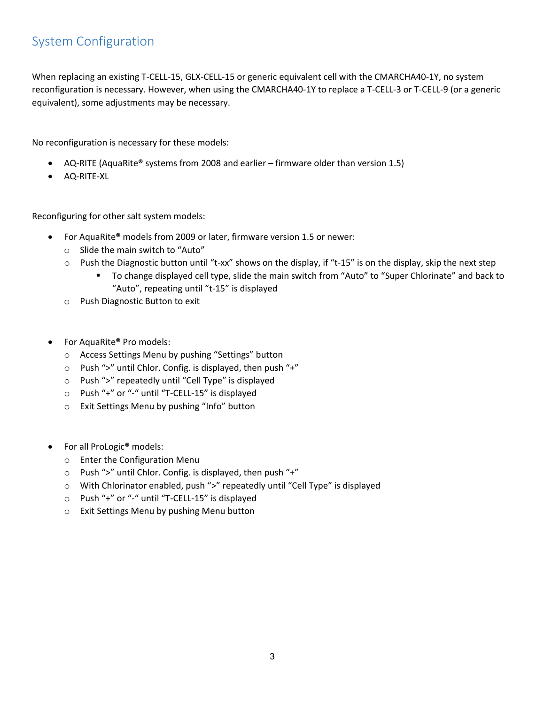### System Configuration

When replacing an existing T-CELL-15, GLX-CELL-15 or generic equivalent cell with the CMARCHA40-1Y, no system reconfiguration is necessary. However, when using the CMARCHA40-1Y to replace a T-CELL-3 or T-CELL-9 (or a generic equivalent), some adjustments may be necessary.

No reconfiguration is necessary for these models:

- AQ-RITE (AquaRite**®** systems from 2008 and earlier firmware older than version 1.5)
- AQ-RITE-XL

Reconfiguring for other salt system models:

- For AquaRite**®** models from 2009 or later, firmware version 1.5 or newer:
	- o Slide the main switch to "Auto"
	- $\circ$  Push the Diagnostic button until "t-xx" shows on the display, if "t-15" is on the display, skip the next step
		- To change displayed cell type, slide the main switch from "Auto" to "Super Chlorinate" and back to "Auto", repeating until "t-15" is displayed
	- o Push Diagnostic Button to exit
- For AquaRite**®** Pro models:
	- o Access Settings Menu by pushing "Settings" button
	- o Push ">" until Chlor. Config. is displayed, then push "+"
	- o Push ">" repeatedly until "Cell Type" is displayed
	- o Push "+" or "-" until "T-CELL-15" is displayed
	- o Exit Settings Menu by pushing "Info" button
- For all ProLogic**®** models:
	- o Enter the Configuration Menu
	- o Push ">" until Chlor. Config. is displayed, then push "+"
	- o With Chlorinator enabled, push ">" repeatedly until "Cell Type" is displayed
	- o Push "+" or "-" until "T-CELL-15" is displayed
	- o Exit Settings Menu by pushing Menu button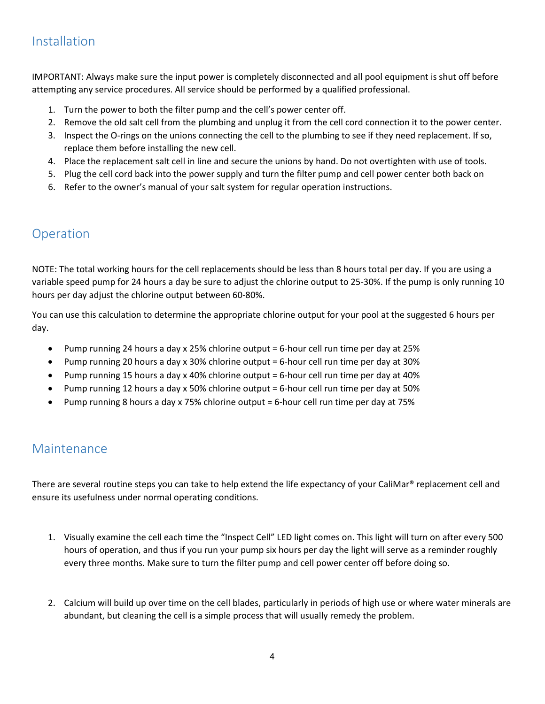#### Installation

IMPORTANT: Always make sure the input power is completely disconnected and all pool equipment is shut off before attempting any service procedures. All service should be performed by a qualified professional.

- 1. Turn the power to both the filter pump and the cell's power center off.
- 2. Remove the old salt cell from the plumbing and unplug it from the cell cord connection it to the power center.
- 3. Inspect the O-rings on the unions connecting the cell to the plumbing to see if they need replacement. If so, replace them before installing the new cell.
- 4. Place the replacement salt cell in line and secure the unions by hand. Do not overtighten with use of tools.
- 5. Plug the cell cord back into the power supply and turn the filter pump and cell power center both back on
- 6. Refer to the owner's manual of your salt system for regular operation instructions.

#### Operation

NOTE: The total working hours for the cell replacements should be less than 8 hours total per day. If you are using a variable speed pump for 24 hours a day be sure to adjust the chlorine output to 25-30%. If the pump is only running 10 hours per day adjust the chlorine output between 60-80%.

You can use this calculation to determine the appropriate chlorine output for your pool at the suggested 6 hours per day.

- Pump running 24 hours a day x 25% chlorine output = 6-hour cell run time per day at 25%
- Pump running 20 hours a day x 30% chlorine output = 6-hour cell run time per day at 30%
- Pump running 15 hours a day x 40% chlorine output = 6-hour cell run time per day at 40%
- Pump running 12 hours a day x 50% chlorine output = 6-hour cell run time per day at 50%
- Pump running 8 hours a day x 75% chlorine output = 6-hour cell run time per day at 75%

#### Maintenance

There are several routine steps you can take to help extend the life expectancy of your CaliMar® replacement cell and ensure its usefulness under normal operating conditions.

- 1. Visually examine the cell each time the "Inspect Cell" LED light comes on. This light will turn on after every 500 hours of operation, and thus if you run your pump six hours per day the light will serve as a reminder roughly every three months. Make sure to turn the filter pump and cell power center off before doing so.
- 2. Calcium will build up over time on the cell blades, particularly in periods of high use or where water minerals are abundant, but cleaning the cell is a simple process that will usually remedy the problem.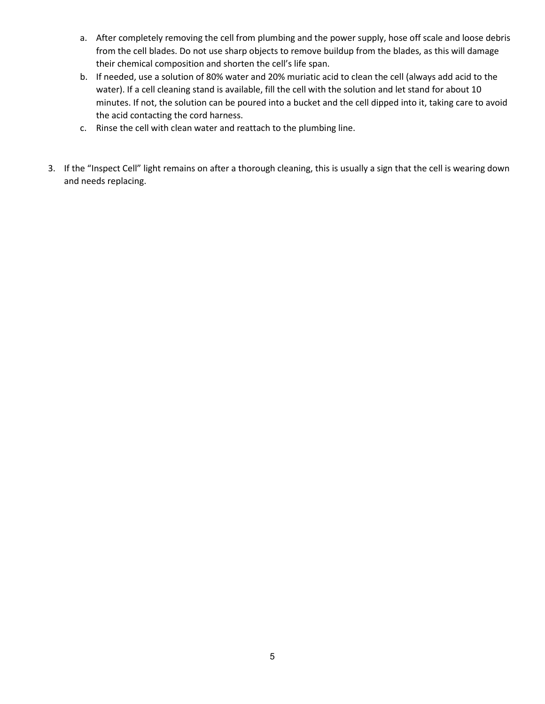- a. After completely removing the cell from plumbing and the power supply, hose off scale and loose debris from the cell blades. Do not use sharp objects to remove buildup from the blades, as this will damage their chemical composition and shorten the cell's life span.
- b. If needed, use a solution of 80% water and 20% muriatic acid to clean the cell (always add acid to the water). If a cell cleaning stand is available, fill the cell with the solution and let stand for about 10 minutes. If not, the solution can be poured into a bucket and the cell dipped into it, taking care to avoid the acid contacting the cord harness.
- c. Rinse the cell with clean water and reattach to the plumbing line.
- 3. If the "Inspect Cell" light remains on after a thorough cleaning, this is usually a sign that the cell is wearing down and needs replacing.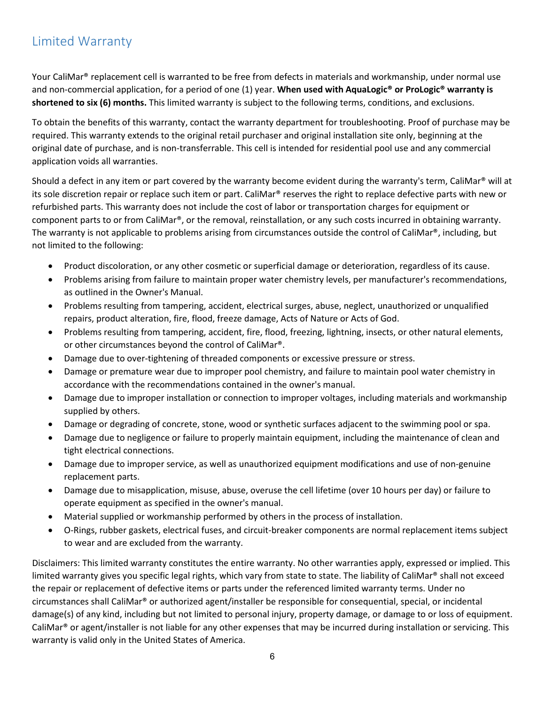### Limited Warranty

Your CaliMar® replacement cell is warranted to be free from defects in materials and workmanship, under normal use and non-commercial application, for a period of one (1) year. **When used with AquaLogic® or ProLogic® warranty is shortened to six (6) months.** This limited warranty is subject to the following terms, conditions, and exclusions.

To obtain the benefits of this warranty, contact the warranty department for troubleshooting. Proof of purchase may be required. This warranty extends to the original retail purchaser and original installation site only, beginning at the original date of purchase, and is non-transferrable. This cell is intended for residential pool use and any commercial application voids all warranties.

Should a defect in any item or part covered by the warranty become evident during the warranty's term, CaliMar® will at its sole discretion repair or replace such item or part. CaliMar® reserves the right to replace defective parts with new or refurbished parts. This warranty does not include the cost of labor or transportation charges for equipment or component parts to or from CaliMar®, or the removal, reinstallation, or any such costs incurred in obtaining warranty. The warranty is not applicable to problems arising from circumstances outside the control of CaliMar®, including, but not limited to the following:

- Product discoloration, or any other cosmetic or superficial damage or deterioration, regardless of its cause.
- Problems arising from failure to maintain proper water chemistry levels, per manufacturer's recommendations, as outlined in the Owner's Manual.
- Problems resulting from tampering, accident, electrical surges, abuse, neglect, unauthorized or unqualified repairs, product alteration, fire, flood, freeze damage, Acts of Nature or Acts of God.
- Problems resulting from tampering, accident, fire, flood, freezing, lightning, insects, or other natural elements, or other circumstances beyond the control of CaliMar®.
- Damage due to over-tightening of threaded components or excessive pressure or stress.
- Damage or premature wear due to improper pool chemistry, and failure to maintain pool water chemistry in accordance with the recommendations contained in the owner's manual.
- Damage due to improper installation or connection to improper voltages, including materials and workmanship supplied by others.
- Damage or degrading of concrete, stone, wood or synthetic surfaces adjacent to the swimming pool or spa.
- Damage due to negligence or failure to properly maintain equipment, including the maintenance of clean and tight electrical connections.
- Damage due to improper service, as well as unauthorized equipment modifications and use of non-genuine replacement parts.
- Damage due to misapplication, misuse, abuse, overuse the cell lifetime (over 10 hours per day) or failure to operate equipment as specified in the owner's manual.
- Material supplied or workmanship performed by others in the process of installation.
- O-Rings, rubber gaskets, electrical fuses, and circuit-breaker components are normal replacement items subject to wear and are excluded from the warranty.

Disclaimers: This limited warranty constitutes the entire warranty. No other warranties apply, expressed or implied. This limited warranty gives you specific legal rights, which vary from state to state. The liability of CaliMar® shall not exceed the repair or replacement of defective items or parts under the referenced limited warranty terms. Under no circumstances shall CaliMar® or authorized agent/installer be responsible for consequential, special, or incidental damage(s) of any kind, including but not limited to personal injury, property damage, or damage to or loss of equipment. CaliMar® or agent/installer is not liable for any other expenses that may be incurred during installation or servicing. This warranty is valid only in the United States of America.